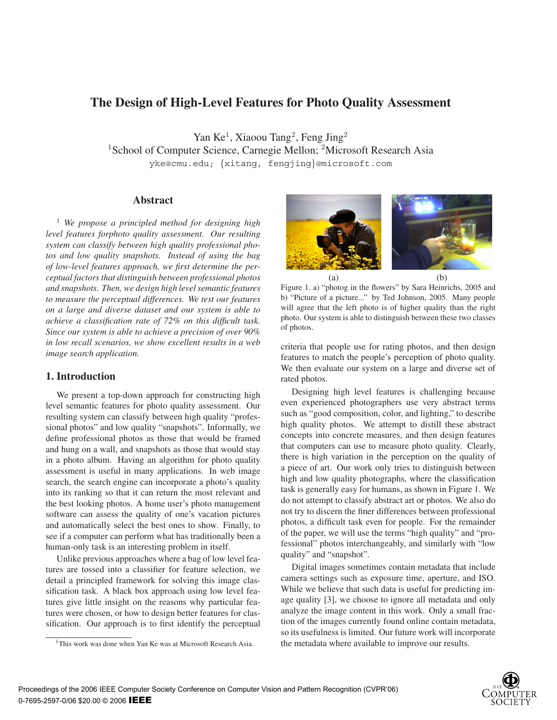# **The Design of High-Level Features for Photo Quality Assessment**

Yan Ke<sup>1</sup>, Xiaoou Tang<sup>2</sup>, Feng Jing<sup>2</sup> <sup>1</sup>School of Computer Science, Carnegie Mellon; <sup>2</sup>Microsoft Research Asia yke@cmu.edu; {xitang, fengjing}@microsoft.com

## **Abstract**

<sup>1</sup> *We propose a principled method for designing high level features forphoto quality assessment. Our resulting system can classify between high quality professional photos and low quality snapshots. Instead of using the bag of low-level features approach, we first determine the perceptual factors that distinguish between professional photos and snapshots. Then, we design high level semantic features to measure the perceptual differences. We test our features on a large and diverse dataset and our system is able to achieve a classification rate of 72% on this difficult task. Since our system is able to achieve a precision of over 90% in low recall scenarios, we show excellent results in a web image search application.*

## **1. Introduction**

We present a top-down approach for constructing high level semantic features for photo quality assessment. Our resulting system can classify between high quality "professional photos" and low quality "snapshots". Informally, we define professional photos as those that would be framed and hung on a wall, and snapshots as those that would stay in a photo album. Having an algorithm for photo quality assessment is useful in many applications. In web image search, the search engine can incorporate a photo's quality into its ranking so that it can return the most relevant and the best looking photos. A home user's photo management software can assess the quality of one's vacation pictures and automatically select the best ones to show. Finally, to see if a computer can perform what has traditionally been a human-only task is an interesting problem in itself.

Unlike previous approaches where a bag of low level features are tossed into a classifier for feature selection, we detail a principled framework for solving this image classification task. A black box approach using low level features give little insight on the reasons why particular features were chosen, or how to design better features for classification. Our approach is to first identify the perceptual



(a) (b) Figure 1. a) "photog in the flowers" by Sara Heinrichs, 2005 and b) "Picture of a picture..." by Ted Johnson, 2005. Many people will agree that the left photo is of higher quality than the right photo. Our system is able to distinguish between these two classes of photos.

criteria that people use for rating photos, and then design features to match the people's perception of photo quality. We then evaluate our system on a large and diverse set of rated photos.

Designing high level features is challenging because even experienced photographers use very abstract terms such as "good composition, color, and lighting," to describe high quality photos. We attempt to distill these abstract concepts into concrete measures, and then design features that computers can use to measure photo quality. Clearly, there is high variation in the perception on the quality of a piece of art. Our work only tries to distinguish between high and low quality photographs, where the classification task is generally easy for humans, as shown in Figure 1. We do not attempt to classify abstract art or photos. We also do not try to discern the finer differences between professional photos, a difficult task even for people. For the remainder of the paper, we will use the terms "high quality" and "professional" photos interchangeably, and similarly with "low quality" and "snapshot".

Digital images sometimes contain metadata that include camera settings such as exposure time, aperture, and ISO. While we believe that such data is useful for predicting image quality [3], we choose to ignore all metadata and only analyze the image content in this work. Only a small fraction of the images currently found online contain metadata, so its usefulness is limited. Our future work will incorporate the metadata where available to improve our results.



<sup>&</sup>lt;sup>1</sup>This work was done when Yan Ke was at Microsoft Research Asia.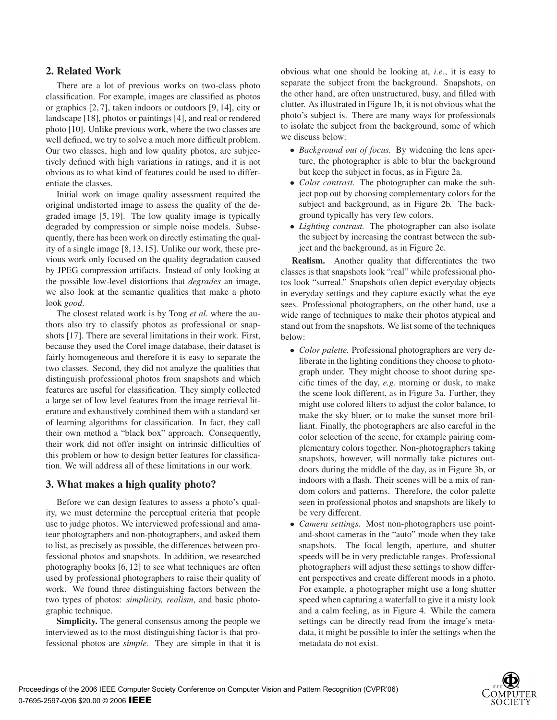## **2. Related Work**

There are a lot of previous works on two-class photo classification. For example, images are classified as photos or graphics [2, 7], taken indoors or outdoors [9, 14], city or landscape [18], photos or paintings [4], and real or rendered photo [10]. Unlike previous work, where the two classes are well defined, we try to solve a much more difficult problem. Our two classes, high and low quality photos, are subjectively defined with high variations in ratings, and it is not obvious as to what kind of features could be used to differentiate the classes.

Initial work on image quality assessment required the original undistorted image to assess the quality of the degraded image [5, 19]. The low quality image is typically degraded by compression or simple noise models. Subsequently, there has been work on directly estimating the quality of a single image [8, 13, 15]. Unlike our work, these previous work only focused on the quality degradation caused by JPEG compression artifacts. Instead of only looking at the possible low-level distortions that *degrades* an image, we also look at the semantic qualities that make a photo look *good*.

The closest related work is by Tong *et al*. where the authors also try to classify photos as professional or snapshots [17]. There are several limitations in their work. First, because they used the Corel image database, their dataset is fairly homogeneous and therefore it is easy to separate the two classes. Second, they did not analyze the qualities that distinguish professional photos from snapshots and which features are useful for classification. They simply collected a large set of low level features from the image retrieval literature and exhaustively combined them with a standard set of learning algorithms for classification. In fact, they call their own method a "black box" approach. Consequently, their work did not offer insight on intrinsic difficulties of this problem or how to design better features for classification. We will address all of these limitations in our work.

## **3. What makes a high quality photo?**

Before we can design features to assess a photo's quality, we must determine the perceptual criteria that people use to judge photos. We interviewed professional and amateur photographers and non-photographers, and asked them to list, as precisely as possible, the differences between professional photos and snapshots. In addition, we researched photography books [6, 12] to see what techniques are often used by professional photographers to raise their quality of work. We found three distinguishing factors between the two types of photos: *simplicity, realism*, and basic photographic technique.

**Simplicity.** The general consensus among the people we interviewed as to the most distinguishing factor is that professional photos are *simple*. They are simple in that it is obvious what one should be looking at, *i.e*., it is easy to separate the subject from the background. Snapshots, on the other hand, are often unstructured, busy, and filled with clutter. As illustrated in Figure 1b, it is not obvious what the photo's subject is. There are many ways for professionals to isolate the subject from the background, some of which we discuss below:

- *Background out of focus.* By widening the lens aperture, the photographer is able to blur the background but keep the subject in focus, as in Figure 2a.
- *Color contrast.* The photographer can make the subject pop out by choosing complementary colors for the subject and background, as in Figure 2b. The background typically has very few colors.
- *Lighting contrast.* The photographer can also isolate the subject by increasing the contrast between the subject and the background, as in Figure 2c.

**Realism.** Another quality that differentiates the two classes is that snapshots look "real" while professional photos look "surreal." Snapshots often depict everyday objects in everyday settings and they capture exactly what the eye sees. Professional photographers, on the other hand, use a wide range of techniques to make their photos atypical and stand out from the snapshots. We list some of the techniques below:

- *Color palette.* Professional photographers are very deliberate in the lighting conditions they choose to photograph under. They might choose to shoot during specific times of the day, *e.g*. morning or dusk, to make the scene look different, as in Figure 3a. Further, they might use colored filters to adjust the color balance, to make the sky bluer, or to make the sunset more brilliant. Finally, the photographers are also careful in the color selection of the scene, for example pairing complementary colors together. Non-photographers taking snapshots, however, will normally take pictures outdoors during the middle of the day, as in Figure 3b, or indoors with a flash. Their scenes will be a mix of random colors and patterns. Therefore, the color palette seen in professional photos and snapshots are likely to be very different.
- *Camera settings.* Most non-photographers use pointand-shoot cameras in the "auto" mode when they take snapshots. The focal length, aperture, and shutter speeds will be in very predictable ranges. Professional photographers will adjust these settings to show different perspectives and create different moods in a photo. For example, a photographer might use a long shutter speed when capturing a waterfall to give it a misty look and a calm feeling, as in Figure 4. While the camera settings can be directly read from the image's metadata, it might be possible to infer the settings when the metadata do not exist.

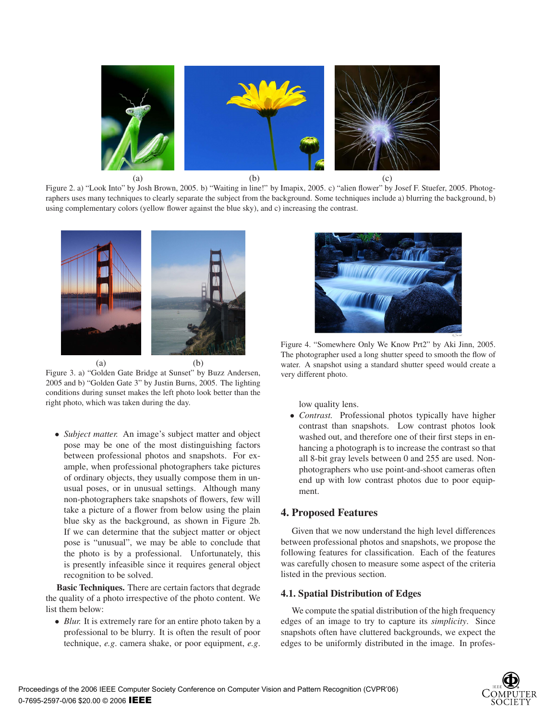

Figure 2. a) "Look Into" by Josh Brown, 2005. b) "Waiting in line!" by Imapix, 2005. c) "alien flower" by Josef F. Stuefer, 2005. Photographers uses many techniques to clearly separate the subject from the background. Some techniques include a) blurring the background, b) using complementary colors (yellow flower against the blue sky), and c) increasing the contrast.



Figure 3. a) "Golden Gate Bridge at Sunset" by Buzz Andersen, 2005 and b) "Golden Gate 3" by Justin Burns, 2005. The lighting conditions during sunset makes the left photo look better than the right photo, which was taken during the day.

• *Subject matter.* An image's subject matter and object pose may be one of the most distinguishing factors between professional photos and snapshots. For example, when professional photographers take pictures of ordinary objects, they usually compose them in unusual poses, or in unusual settings. Although many non-photographers take snapshots of flowers, few will take a picture of a flower from below using the plain blue sky as the background, as shown in Figure 2b. If we can determine that the subject matter or object pose is "unusual", we may be able to conclude that the photo is by a professional. Unfortunately, this is presently infeasible since it requires general object recognition to be solved.

**Basic Techniques.** There are certain factors that degrade the quality of a photo irrespective of the photo content. We list them below:

• *Blur.* It is extremely rare for an entire photo taken by a professional to be blurry. It is often the result of poor technique, *e.g*. camera shake, or poor equipment, *e.g*.



Figure 4. "Somewhere Only We Know Prt2" by Aki Jinn, 2005. The photographer used a long shutter speed to smooth the flow of water. A snapshot using a standard shutter speed would create a very different photo.

low quality lens.

• *Contrast.* Professional photos typically have higher contrast than snapshots. Low contrast photos look washed out, and therefore one of their first steps in enhancing a photograph is to increase the contrast so that all 8-bit gray levels between 0 and 255 are used. Nonphotographers who use point-and-shoot cameras often end up with low contrast photos due to poor equipment.

### **4. Proposed Features**

Given that we now understand the high level differences between professional photos and snapshots, we propose the following features for classification. Each of the features was carefully chosen to measure some aspect of the criteria listed in the previous section.

### **4.1. Spatial Distribution of Edges**

We compute the spatial distribution of the high frequency edges of an image to try to capture its *simplicity*. Since snapshots often have cluttered backgrounds, we expect the edges to be uniformly distributed in the image. In profes-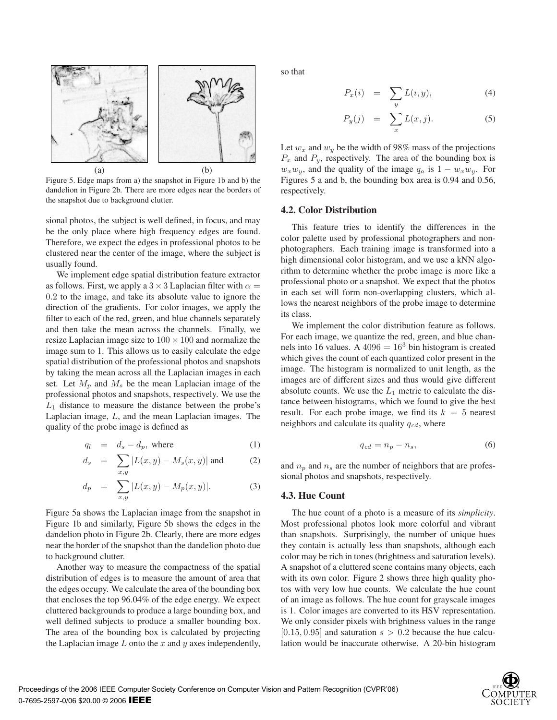

Figure 5. Edge maps from a) the snapshot in Figure 1b and b) the dandelion in Figure 2b. There are more edges near the borders of the snapshot due to background clutter.

sional photos, the subject is well defined, in focus, and may be the only place where high frequency edges are found. Therefore, we expect the edges in professional photos to be clustered near the center of the image, where the subject is usually found.

We implement edge spatial distribution feature extractor as follows. First, we apply a  $3 \times 3$  Laplacian filter with  $\alpha =$ 0.2 to the image, and take its absolute value to ignore the direction of the gradients. For color images, we apply the filter to each of the red, green, and blue channels separately and then take the mean across the channels. Finally, we resize Laplacian image size to  $100 \times 100$  and normalize the image sum to 1. This allows us to easily calculate the edge spatial distribution of the professional photos and snapshots by taking the mean across all the Laplacian images in each set. Let  $M_p$  and  $M_s$  be the mean Laplacian image of the professional photos and snapshots, respectively. We use the  $L_1$  distance to measure the distance between the probe's Laplacian image, L, and the mean Laplacian images. The quality of the probe image is defined as

$$
q_l = d_s - d_p, \text{ where } (1)
$$

$$
d_s = \sum_{x,y} |L(x,y) - M_s(x,y)| \text{ and } (2)
$$

$$
d_p = \sum_{x,y} |L(x,y) - M_p(x,y)|. \tag{3}
$$

Figure 5a shows the Laplacian image from the snapshot in Figure 1b and similarly, Figure 5b shows the edges in the dandelion photo in Figure 2b. Clearly, there are more edges near the border of the snapshot than the dandelion photo due to background clutter.

Another way to measure the compactness of the spatial distribution of edges is to measure the amount of area that the edges occupy. We calculate the area of the bounding box that encloses the top 96.04% of the edge energy. We expect cluttered backgrounds to produce a large bounding box, and well defined subjects to produce a smaller bounding box. The area of the bounding box is calculated by projecting the Laplacian image  $L$  onto the  $x$  and  $y$  axes independently, so that

$$
P_x(i) = \sum_y L(i, y), \tag{4}
$$

$$
P_y(j) = \sum_x L(x, j). \tag{5}
$$

Let  $w_x$  and  $w_y$  be the width of 98% mass of the projections  $P_x$  and  $P_y$ , respectively. The area of the bounding box is  $w_x w_y$ , and the quality of the image  $q_a$  is  $1 - w_x w_y$ . For Figures 5 a and b, the bounding box area is 0.94 and 0.56, respectively.

#### **4.2. Color Distribution**

This feature tries to identify the differences in the color palette used by professional photographers and nonphotographers. Each training image is transformed into a high dimensional color histogram, and we use a kNN algorithm to determine whether the probe image is more like a professional photo or a snapshot. We expect that the photos in each set will form non-overlapping clusters, which allows the nearest neighbors of the probe image to determine its class.

We implement the color distribution feature as follows. For each image, we quantize the red, green, and blue channels into 16 values. A  $4096 = 16<sup>3</sup>$  bin histogram is created which gives the count of each quantized color present in the image. The histogram is normalized to unit length, as the images are of different sizes and thus would give different absolute counts. We use the  $L_1$  metric to calculate the distance between histograms, which we found to give the best result. For each probe image, we find its  $k = 5$  nearest neighbors and calculate its quality  $q_{cd}$ , where

$$
q_{cd} = n_p - n_s,\t\t(6)
$$

and  $n_p$  and  $n_s$  are the number of neighbors that are professional photos and snapshots, respectively.

#### **4.3. Hue Count**

The hue count of a photo is a measure of its *simplicity*. Most professional photos look more colorful and vibrant than snapshots. Surprisingly, the number of unique hues they contain is actually less than snapshots, although each color may be rich in tones (brightness and saturation levels). A snapshot of a cluttered scene contains many objects, each with its own color. Figure 2 shows three high quality photos with very low hue counts. We calculate the hue count of an image as follows. The hue count for grayscale images is 1. Color images are converted to its HSV representation. We only consider pixels with brightness values in the range  $[0.15, 0.95]$  and saturation  $s > 0.2$  because the hue calculation would be inaccurate otherwise. A 20-bin histogram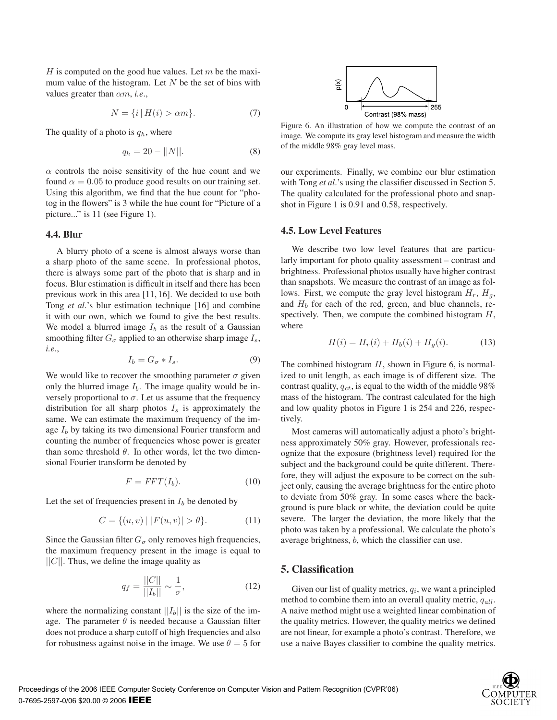H is computed on the good hue values. Let  $m$  be the maximum value of the histogram. Let  $N$  be the set of bins with values greater than αm, *i.e*.,

$$
N = \{i \mid H(i) > \alpha m\}.
$$
 (7)

The quality of a photo is  $q_h$ , where

$$
q_h = 20 - ||N||. \t\t(8)
$$

 $\alpha$  controls the noise sensitivity of the hue count and we found  $\alpha = 0.05$  to produce good results on our training set. Using this algorithm, we find that the hue count for "photog in the flowers" is 3 while the hue count for "Picture of a picture..." is 11 (see Figure 1).

#### **4.4. Blur**

A blurry photo of a scene is almost always worse than a sharp photo of the same scene. In professional photos, there is always some part of the photo that is sharp and in focus. Blur estimation is difficult in itself and there has been previous work in this area [11, 16]. We decided to use both Tong *et al*.'s blur estimation technique [16] and combine it with our own, which we found to give the best results. We model a blurred image  $I_b$  as the result of a Gaussian smoothing filter  $G_{\sigma}$  applied to an otherwise sharp image  $I_s$ , *i.e*.,

$$
I_b = G_{\sigma} * I_s. \tag{9}
$$

We would like to recover the smoothing parameter  $\sigma$  given only the blurred image  $I<sub>b</sub>$ . The image quality would be inversely proportional to  $\sigma$ . Let us assume that the frequency distribution for all sharp photos  $I_s$  is approximately the same. We can estimate the maximum frequency of the image  $I<sub>b</sub>$  by taking its two dimensional Fourier transform and counting the number of frequencies whose power is greater than some threshold  $\theta$ . In other words, let the two dimensional Fourier transform be denoted by

$$
F = FFT(I_b). \tag{10}
$$

Let the set of frequencies present in  $I<sub>b</sub>$  be denoted by

$$
C = \{(u, v) | |F(u, v)| > \theta\}.
$$
 (11)

Since the Gaussian filter  $G_{\sigma}$  only removes high frequencies, the maximum frequency present in the image is equal to  $||C||$ . Thus, we define the image quality as

$$
q_f = \frac{||C||}{||I_b||} \sim \frac{1}{\sigma},
$$
\n(12)

where the normalizing constant  $||I_b||$  is the size of the image. The parameter  $\theta$  is needed because a Gaussian filter does not produce a sharp cutoff of high frequencies and also for robustness against noise in the image. We use  $\theta = 5$  for



Figure 6. An illustration of how we compute the contrast of an image. We compute its gray level histogram and measure the width of the middle 98% gray level mass.

our experiments. Finally, we combine our blur estimation with Tong *et al*.'s using the classifier discussed in Section 5. The quality calculated for the professional photo and snapshot in Figure 1 is 0.91 and 0.58, respectively.

### **4.5. Low Level Features**

We describe two low level features that are particularly important for photo quality assessment – contrast and brightness. Professional photos usually have higher contrast than snapshots. We measure the contrast of an image as follows. First, we compute the gray level histogram  $H_r$ ,  $H_q$ , and  $H_b$  for each of the red, green, and blue channels, respectively. Then, we compute the combined histogram  $H$ , where

$$
H(i) = H_r(i) + H_b(i) + H_g(i).
$$
 (13)

The combined histogram  $H$ , shown in Figure 6, is normalized to unit length, as each image is of different size. The contrast quality,  $q_{ct}$ , is equal to the width of the middle 98% mass of the histogram. The contrast calculated for the high and low quality photos in Figure 1 is 254 and 226, respectively.

Most cameras will automatically adjust a photo's brightness approximately 50% gray. However, professionals recognize that the exposure (brightness level) required for the subject and the background could be quite different. Therefore, they will adjust the exposure to be correct on the subject only, causing the average brightness for the entire photo to deviate from 50% gray. In some cases where the background is pure black or white, the deviation could be quite severe. The larger the deviation, the more likely that the photo was taken by a professional. We calculate the photo's average brightness, b, which the classifier can use.

#### **5. Classification**

Given our list of quality metrics,  $q_i$ , we want a principled method to combine them into an overall quality metric,  $q_{all}$ . A naive method might use a weighted linear combination of the quality metrics. However, the quality metrics we defined are not linear, for example a photo's contrast. Therefore, we use a naive Bayes classifier to combine the quality metrics.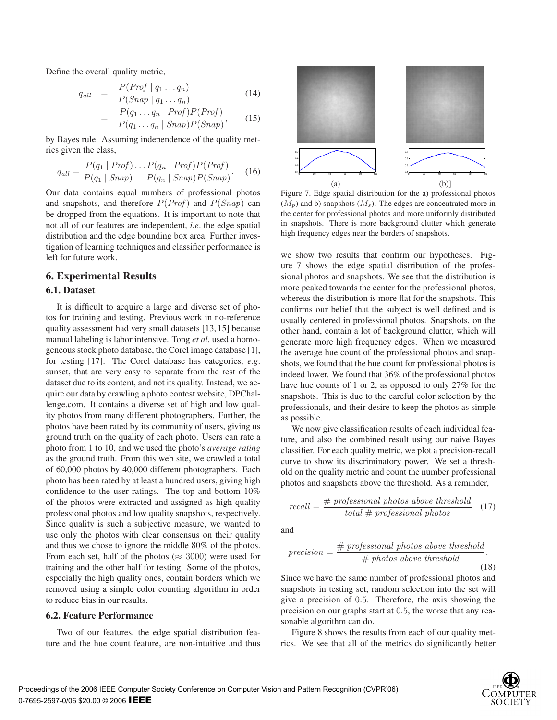Define the overall quality metric,

$$
q_{all} = \frac{P(Prof \mid q_1 \dots q_n)}{P(Snap \mid q_1 \dots q_n)} \tag{14}
$$

$$
= \frac{P(q_1 \ldots q_n \mid Prof)P(Prof)}{P(q_1 \ldots q_n \mid Sanap)P(Snap)}, \qquad (15)
$$

by Bayes rule. Assuming independence of the quality metrics given the class,

$$
q_{all} = \frac{P(q_1 \mid Prof) \dots P(q_n \mid Prof)P(Prof)}{P(q_1 \mid Sanap) \dots P(q_n \mid Sanap)P(Snap)}.
$$
 (16)

Our data contains equal numbers of professional photos and snapshots, and therefore  $P(Prof)$  and  $P(Snap)$  can be dropped from the equations. It is important to note that not all of our features are independent, *i.e*. the edge spatial distribution and the edge bounding box area. Further investigation of learning techniques and classifier performance is left for future work.

### **6. Experimental Results**

### **6.1. Dataset**

It is difficult to acquire a large and diverse set of photos for training and testing. Previous work in no-reference quality assessment had very small datasets [13, 15] because manual labeling is labor intensive. Tong *et al*. used a homogeneous stock photo database, the Corel image database [1], for testing [17]. The Corel database has categories, *e.g*. sunset, that are very easy to separate from the rest of the dataset due to its content, and not its quality. Instead, we acquire our data by crawling a photo contest website, DPChallenge.com. It contains a diverse set of high and low quality photos from many different photographers. Further, the photos have been rated by its community of users, giving us ground truth on the quality of each photo. Users can rate a photo from 1 to 10, and we used the photo's *average rating* as the ground truth. From this web site, we crawled a total of 60,000 photos by 40,000 different photographers. Each photo has been rated by at least a hundred users, giving high confidence to the user ratings. The top and bottom 10% of the photos were extracted and assigned as high quality professional photos and low quality snapshots, respectively. Since quality is such a subjective measure, we wanted to use only the photos with clear consensus on their quality and thus we chose to ignore the middle 80% of the photos. From each set, half of the photos ( $\approx 3000$ ) were used for training and the other half for testing. Some of the photos, especially the high quality ones, contain borders which we removed using a simple color counting algorithm in order to reduce bias in our results.

### **6.2. Feature Performance**

Two of our features, the edge spatial distribution feature and the hue count feature, are non-intuitive and thus



Figure 7. Edge spatial distribution for the a) professional photos  $(M_p)$  and b) snapshots  $(M_s)$ . The edges are concentrated more in the center for professional photos and more uniformly distributed in snapshots. There is more background clutter which generate high frequency edges near the borders of snapshots.

we show two results that confirm our hypotheses. Figure 7 shows the edge spatial distribution of the professional photos and snapshots. We see that the distribution is more peaked towards the center for the professional photos, whereas the distribution is more flat for the snapshots. This confirms our belief that the subject is well defined and is usually centered in professional photos. Snapshots, on the other hand, contain a lot of background clutter, which will generate more high frequency edges. When we measured the average hue count of the professional photos and snapshots, we found that the hue count for professional photos is indeed lower. We found that 36% of the professional photos have hue counts of 1 or 2, as opposed to only 27% for the snapshots. This is due to the careful color selection by the professionals, and their desire to keep the photos as simple as possible.

We now give classification results of each individual feature, and also the combined result using our naive Bayes classifier. For each quality metric, we plot a precision-recall curve to show its discriminatory power. We set a threshold on the quality metric and count the number professional photos and snapshots above the threshold. As a reminder,

$$
recall = \frac{\# \ professional \ photos \ above \ threshold}{total \# \ professional \ photos} \quad (17)
$$

and

$$
precision = \frac{\# \ professional \ photos \ above \ threshold}{\# \ photos \ above \ threshold}
$$
\n(18)

Since we have the same number of professional photos and snapshots in testing set, random selection into the set will give a precision of 0.5. Therefore, the axis showing the precision on our graphs start at 0.5, the worse that any reasonable algorithm can do.

Figure 8 shows the results from each of our quality metrics. We see that all of the metrics do significantly better

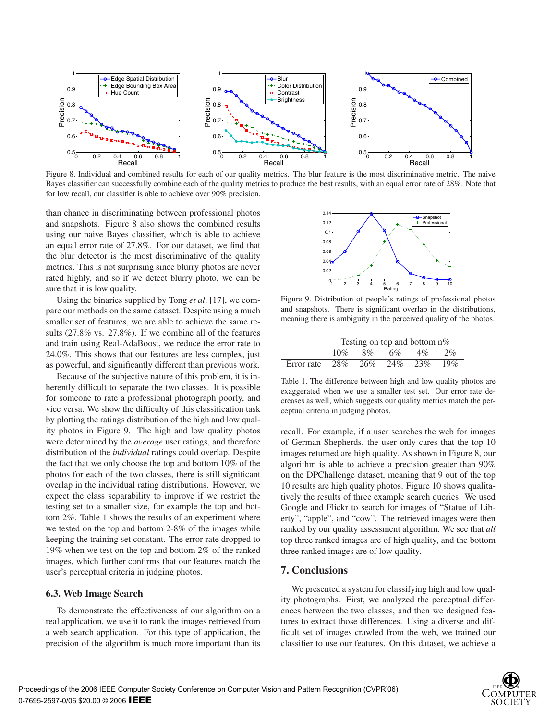

Figure 8. Individual and combined results for each of our quality metrics. The blur feature is the most discriminative metric. The naive Bayes classifier can successfully combine each of the quality metrics to produce the best results, with an equal error rate of 28%. Note that for low recall, our classifier is able to achieve over 90% precision.

than chance in discriminating between professional photos and snapshots. Figure 8 also shows the combined results using our naive Bayes classifier, which is able to achieve an equal error rate of 27.8%. For our dataset, we find that the blur detector is the most discriminative of the quality metrics. This is not surprising since blurry photos are never rated highly, and so if we detect blurry photo, we can be sure that it is low quality.

Using the binaries supplied by Tong *et al*. [17], we compare our methods on the same dataset. Despite using a much smaller set of features, we are able to achieve the same results (27.8% vs. 27.8%). If we combine all of the features and train using Real-AdaBoost, we reduce the error rate to 24.0%. This shows that our features are less complex, just as powerful, and significantly different than previous work.

Because of the subjective nature of this problem, it is inherently difficult to separate the two classes. It is possible for someone to rate a professional photograph poorly, and vice versa. We show the difficulty of this classification task by plotting the ratings distribution of the high and low quality photos in Figure 9. The high and low quality photos were determined by the *average* user ratings, and therefore distribution of the *individual* ratings could overlap. Despite the fact that we only choose the top and bottom 10% of the photos for each of the two classes, there is still significant overlap in the individual rating distributions. However, we expect the class separability to improve if we restrict the testing set to a smaller size, for example the top and bottom 2%. Table 1 shows the results of an experiment where we tested on the top and bottom 2-8% of the images while keeping the training set constant. The error rate dropped to 19% when we test on the top and bottom 2% of the ranked images, which further confirms that our features match the user's perceptual criteria in judging photos.

#### **6.3. Web Image Search**

To demonstrate the effectiveness of our algorithm on a real application, we use it to rank the images retrieved from a web search application. For this type of application, the precision of the algorithm is much more important than its



Figure 9. Distribution of people's ratings of professional photos and snapshots. There is significant overlap in the distributions, meaning there is ambiguity in the perceived quality of the photos.

|                                 | Testing on top and bottom $n\%$ |       |    |       |     |
|---------------------------------|---------------------------------|-------|----|-------|-----|
|                                 | $10\%$                          | $8\%$ | 6% | $4\%$ | 2%  |
| Error rate $28\%$ $26\%$ $24\%$ |                                 |       |    | 23%   | 19% |

Table 1. The difference between high and low quality photos are exaggerated when we use a smaller test set. Our error rate decreases as well, which suggests our quality metrics match the perceptual criteria in judging photos.

recall. For example, if a user searches the web for images of German Shepherds, the user only cares that the top 10 images returned are high quality. As shown in Figure 8, our algorithm is able to achieve a precision greater than 90% on the DPChallenge dataset, meaning that 9 out of the top 10 results are high quality photos. Figure 10 shows qualitatively the results of three example search queries. We used Google and Flickr to search for images of "Statue of Liberty", "apple", and "cow". The retrieved images were then ranked by our quality assessment algorithm. We see that *all* top three ranked images are of high quality, and the bottom three ranked images are of low quality.

#### **7. Conclusions**

We presented a system for classifying high and low quality photographs. First, we analyzed the perceptual differences between the two classes, and then we designed features to extract those differences. Using a diverse and difficult set of images crawled from the web, we trained our classifier to use our features. On this dataset, we achieve a